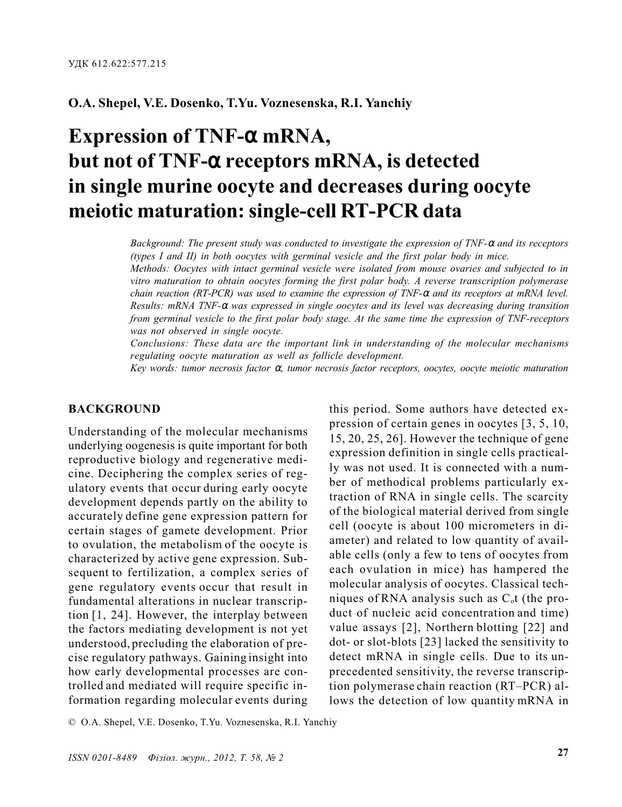# O.A. Shepel, V.E. Dosenko, T.Yu. Voznesenska, R.I. Yanchiy

# Expression of TNF-α mRNA, but not of TNF-α receptors mRNA, is detected in single murine oocyte and decreases during oocyte meiotic maturation: single-cell RT-PCR data

Background: The present study was conducted to investigate the expression of TNF-α and its receptors (types I and II) in both oocytes with germinal vesicle and the first polar body in mice.

Methods: Oocytes with intact germinal vesicle were isolated from mouse ovaries and subjected to in vitro maturation to obtain oocytes forming the first polar body. A reverse transcription polymerase chain reaction (RT-PCR) was used to examine the expression of TNF- $\alpha$  and its receptors at mRNA level. Results: mRNA TNF- $\alpha$  was expressed in single oocytes and its level was decreasing during transition from germinal vesicle to the first polar body stage. At the same time the expression of TNF-receptors was not observed in single oocyte.

Conclusions: These data are the important link in understanding of the molecular mechanisms regulating oocyte maturation as well as follicle development.

Key words: tumor necrosis factor α, tumor necrosis factor receptors, oocytes, oocyte meiotic maturation

#### **BACKGROUND**

Understanding of the molecular mechanisms underlying oogenesis is quite important for both reproductive biology and regenerative medicine. Deciphering the complex series of regulatory events that occur during early oocyte development depends partly on the ability to accurately define gene expression pattern for certain stages of gamete development. Prior to ovulation, the metabolism of the oocyte is characterized by active gene expression. Subsequent to fertilization, a complex series of gene regulatory events occur that result in fundamental alterations in nuclear transcription [1, 24]. However, the interplay between the factors mediating development is not yet understood, precluding the elaboration of precise regulatory pathways. Gaining insight into how early developmental processes are controlled and mediated will require specific information regarding molecular events during

this period. Some authors have detected expression of certain genes in oocytes [3, 5, 10, 15, 20, 25, 26]. However the technique of gene expression definition in single cells practically was not used. It is connected with a number of methodical problems particularly extraction of RNA in single cells. The scarcity of the biological material derived from single cell (oocyte is about 100 micrometers in diameter) and related to low quantity of available cells (only a few to tens of oocytes from each ovulation in mice) has hampered the molecular analysis of oocytes. Classical techniques of RNA analysis such as  $C<sub>o</sub>$ t (the product of nucleic acid concentration and time) value assays [2], Northern blotting [22] and dot- or slot-blots [23] lacked the sensitivity to detect mRNA in single cells. Due to its unprecedented sensitivity, the reverse transcription polymerase chain reaction (RT-PCR) allows the detection of low quantity mRNA in

© O.A. Shepel, V.E. Dosenko, T.Yu. Voznesenska, R.I. Yanchiy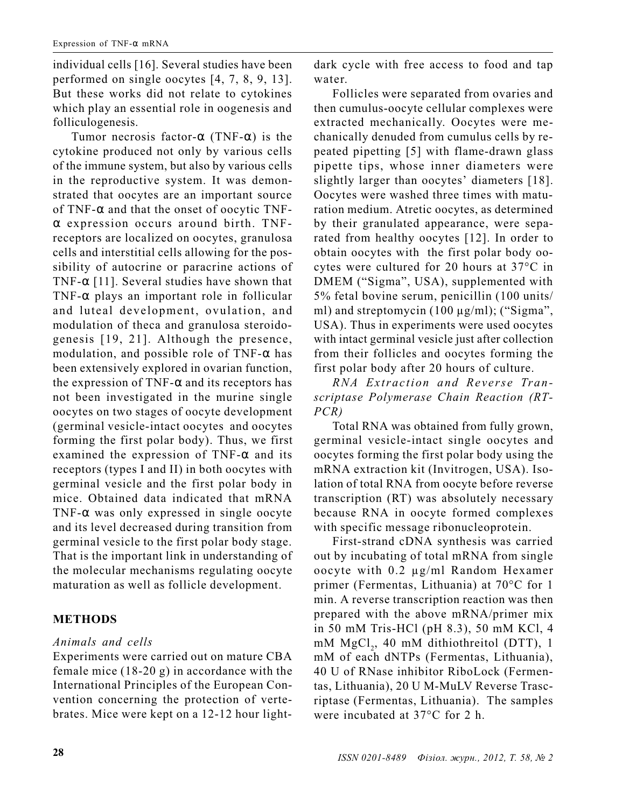individual cells [16]. Several studies have been performed on single oocytes [4, 7, 8, 9, 13]. But these works did not relate to cytokines which play an essential role in oogenesis and folliculogenesis.

Tumor necrosis factor- $\alpha$  (TNF- $\alpha$ ) is the cytokine produced not only by various cells of the immune system, but also by various cells in the reproductive system. It was demonstrated that oocytes are an important source of TNF- $\alpha$  and that the onset of oocytic TNFα expression occurs around birth. TNFreceptors are localized on oocytes, granulosa cells and interstitial cells allowing for the possibility of autocrine or paracrine actions of TNF- $\alpha$  [11]. Several studies have shown that TNF- $\alpha$  plays an important role in follicular and luteal development, ovulation, and modulation of theca and granulosa steroidogenesis [19, 21]. Although the presence, modulation, and possible role of TNF- $\alpha$  has been extensively explored in ovarian function, the expression of TNF- $\alpha$  and its receptors has not been investigated in the murine single oocytes on two stages of oocyte development (germinal vesicle-intact oocytes and oocytes forming the first polar body). Thus, we first examined the expression of TNF- $\alpha$  and its receptors (types I and II) in both oocytes with germinal vesicle and the first polar body in mice. Obtained data indicated that mRNA TNF- $\alpha$  was only expressed in single oocyte and its level decreased during transition from germinal vesicle to the first polar body stage. That is the important link in understanding of the molecular mechanisms regulating oocyte maturation as well as follicle development.

## **METHODS**

## Animals and cells

Experiments were carried out on mature CBA female mice (18-20 g) in accordance with the International Principles of the European Convention concerning the protection of vertebrates. Mice were kept on a 12-12 hour lightdark cycle with free access to food and tap water.

Follicles were separated from ovaries and then cumulus-oocyte cellular complexes were extracted mechanically. Oocytes were mechanically denuded from cumulus cells by repeated pipetting [5] with flame-drawn glass pipette tips, whose inner diameters were slightly larger than oocytes' diameters [18]. Oocytes were washed three times with maturation medium. Atretic oocytes, as determined by their granulated appearance, were separated from healthy oocytes [12]. In order to obtain oocytes with the first polar body oocytes were cultured for 20 hours at 37°C in DMEM ("Sigma", USA), supplemented with 5% fetal bovine serum, penicillin (100 units/ ml) and streptomycin  $(100 \mu g/ml)$ ; ("Sigma", USA). Thus in experiments were used oocytes with intact germinal vesicle just after collection from their follicles and oocytes forming the first polar body after 20 hours of culture.

RNA Extraction and Reverse Transcriptase Polymerase Chain Reaction (RT-PCR)

Total RNA was obtained from fully grown, germinal vesicle-intact single oocytes and oocytes forming the first polar body using the mRNA extraction kit (Invitrogen, USA). Isolation of total RNA from oocyte before reverse transcription (RT) was absolutely necessary because RNA in oocyte formed complexes with specific message ribonucleoprotein.

First-strand cDNA synthesis was carried out by incubating of total mRNA from single oocyte with 0.2 µg/ml Random Hexamer primer (Fermentas, Lithuania) at  $70^{\circ}$ C for 1 min. A reverse transcription reaction was then prepared with the above mRNA/primer mix in 50 mM Tris-HCl (pH 8.3), 50 mM KCl, 4  $mM MgCl<sub>2</sub>$ , 40 mM dithiothreitol (DTT), 1 mM of each dNTPs (Fermentas, Lithuania), 40 U of RNase inhibitor RiboLock (Fermentas, Lithuania), 20 U M-MuLV Reverse Trascriptase (Fermentas, Lithuania). The samples were incubated at  $37^{\circ}$ C for 2 h.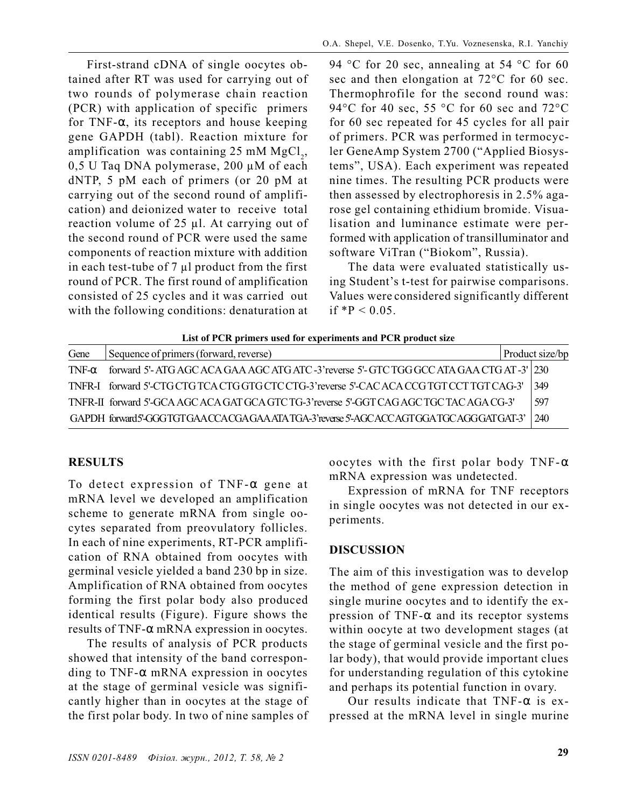First-strand cDNA of single oocytes obtained after RT was used for carrying out of two rounds of polymerase chain reaction (PCR) with application of specific primers for TNF- $\alpha$ , its receptors and house keeping gene GAPDH (tabl). Reaction mixture for amplification was containing 25 mM  ${MgCl}_2$ , 0,5 U Taq DNA polymerase, 200 µM of each dNTP, 5 pM each of primers (or 20 pM at carrying out of the second round of amplification) and deionized water to receive total reaction volume of 25 µl. At carrying out of the second round of PCR were used the same components of reaction mixture with addition in each test-tube of  $7 \mu l$  product from the first round of PCR. The first round of amplification consisted of 25 cycles and it was carried out with the following conditions: denaturation at 94 °C for 20 sec, annealing at 54 °C for 60 sec and then elongation at  $72^{\circ}$ C for 60 sec. Thermophrofile for the second round was: 94 $\rm ^{\circ}C$  for 40 sec, 55  $\rm ^{\circ}C$  for 60 sec and 72 $\rm ^{\circ}C$ for 60 sec repeated for 45 cycles for all pair of primers. PCR was performed in termocycler GeneAmp System 2700 ("Applied Biosystems", USA). Each experiment was repeated nine times. The resulting PCR products were then assessed by electrophoresis in 2.5% agarose gel containing ethidium bromide. Visualisation and luminance estimate were performed with application of transilluminator and software ViTran ("Biokom", Russia).

The data were evaluated statistically using Student's t-test for pairwise comparisons. Values were considered significantly different if  $*P < 0.05$ .

| List of PCR primers used for experiments and PCR product size |                                                                                            |  |                 |
|---------------------------------------------------------------|--------------------------------------------------------------------------------------------|--|-----------------|
| Gene                                                          | Sequence of primers (forward, reverse)                                                     |  | Product size/bp |
| $TNF-\alpha$                                                  | forward 5'- ATG AGC ACA GAA AGC ATG ATC -3' reverse 5'- GTC TGG GCC ATA GAA CTG AT -3' 230 |  |                 |
|                                                               | TNFR-I forward 5'-CTG CTG TCA CTG GTG CTC CTG-3' reverse 5'-CAC ACA CCG TGT CCT TGT CAG-3' |  | 349             |
|                                                               | TNFR-II forward 5'-GCA AGC ACA GAT GCA GTC TG-3' reverse 5'-GGT CAG AGC TGC TAC AGA CG-3'  |  | 597             |
|                                                               | GAPDH forward5-GGGTGTGAACCACGAGAAATATGA-3'reverse 5'-AGCACCAGTGGATGCAGGGATGAT-3'           |  | 1240            |

#### RESULTS

To detect expression of TNF-α gene at mRNA level we developed an amplification scheme to generate mRNA from single oocytes separated from preovulatory follicles. In each of nine experiments, RT-PCR amplification of RNA obtained from oocytes with germinal vesicle yielded a band 230 bp in size. Amplification of RNA obtained from oocytes forming the first polar body also produced identical results (Figure). Figure shows the results of TNF-α mRNA expression in oocytes.

The results of analysis of PCR products showed that intensity of the band corresponding to TNF- $\alpha$  mRNA expression in oocytes at the stage of germinal vesicle was significantly higher than in oocytes at the stage of the first polar body. In two of nine samples of oocytes with the first polar body TNF- $\alpha$ mRNA expression was undetected.

Expression of mRNA for TNF receptors in single oocytes was not detected in our experiments.

## DISCUSSION

The aim of this investigation was to develop the method of gene expression detection in single murine oocytes and to identify the expression of TNF- $\alpha$  and its receptor systems within oocyte at two development stages (at the stage of germinal vesicle and the first polar body), that would provide important clues for understanding regulation of this cytokine and perhaps its potential function in ovary.

Our results indicate that  $TNF-\alpha$  is expressed at the mRNA level in single murine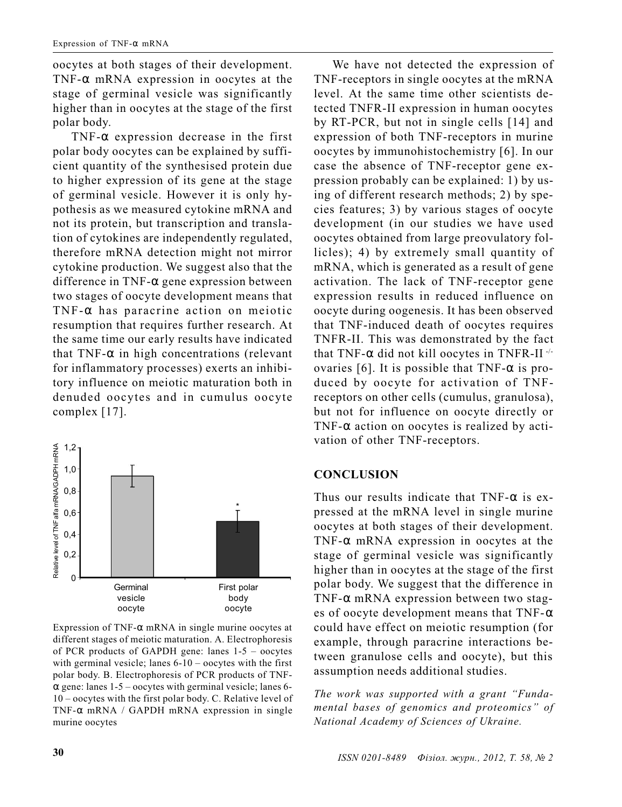oocytes at both stages of their development. TNF-α mRNA expression in oocytes at the stage of germinal vesicle was significantly higher than in oocytes at the stage of the first polar body.

TNF-α expression decrease in the first polar body oocytes can be explained by sufficient quantity of the synthesised protein due to higher expression of its gene at the stage of germinal vesicle. However it is only hypothesis as we measured cytokine mRNA and not its protein, but transcription and translation of cytokines are independently regulated, therefore mRNA detection might not mirror cytokine production. We suggest also that the difference in TNF-α gene expression between two stages of oocyte development means that TNF- $\alpha$  has paracrine action on meiotic resumption that requires further research. At the same time our early results have indicated that TNF- $\alpha$  in high concentrations (relevant for inflammatory processes) exerts an inhibitory influence on meiotic maturation both in denuded oocytes and in cumulus oocyte complex [17].



Expression of TNF- $\alpha$  mRNA in single murine oocytes at different stages of meiotic maturation. A. Electrophoresis of PCR products of GAPDH gene: lanes  $1-5$  – oocytes with germinal vesicle; lanes  $6-10$  – oocytes with the first polar body. B. Electrophoresis of PCR products of TNF- $\alpha$  gene: lanes 1-5 – oocytes with germinal vesicle; lanes 6- $10 - \text{ocytes with the first polar body.}$  C. Relative level of TNF- $\alpha$  mRNA / GAPDH mRNA expression in single murine oocytes

We have not detected the expression of TNF-receptors in single oocytes at the mRNA level. At the same time other scientists detected TNFR-II expression in human oocytes by RT-PCR, but not in single cells [14] and expression of both TNF-receptors in murine oocytes by immunohistochemistry [6]. In our case the absence of TNF-receptor gene expression probably can be explained: 1) by using of different research methods; 2) by species features; 3) by various stages of oocyte development (in our studies we have used oocytes obtained from large preovulatory follicles); 4) by extremely small quantity of mRNA, which is generated as a result of gene activation. The lack of TNF-receptor gene expression results in reduced influence on oocyte during oogenesis. It has been observed that TNF-induced death of oocytes requires TNFR-II. This was demonstrated by the fact that TNF- $\alpha$  did not kill oocytes in TNFR-II<sup>-/-</sup> ovaries [6]. It is possible that TNF- $\alpha$  is produced by oocyte for activation of TNFreceptors on other cells (cumulus, granulosa), but not for influence on oocyte directly or TNF- $\alpha$  action on oocytes is realized by activation of other TNF-receptors.

## **CONCLUSION**

Thus our results indicate that  $TNF-\alpha$  is expressed at the mRNA level in single murine oocytes at both stages of their development. TNF- $\alpha$  mRNA expression in oocytes at the stage of germinal vesicle was significantly higher than in oocytes at the stage of the first polar body. We suggest that the difference in TNF- $\alpha$  mRNA expression between two stages of oocyte development means that  $TNF-\alpha$ could have effect on meiotic resumption (for example, through paracrine interactions between granulose cells and oocyte), but this assumption needs additional studies.

The work was supported with a grant "Fundamental bases of genomics and proteomics" of National Academy of Sciences of Ukraine.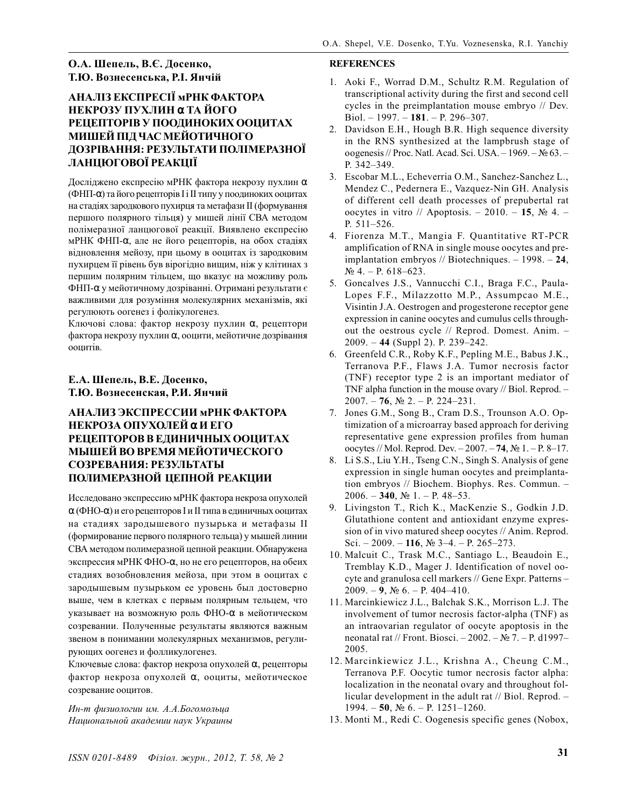#### О.А. Шепель, В.Є. Досенко, Т.Ю. Вознесенська. Р.І. Янчій

### АНАЛІЗ ЕКСПРЕСІЇ мРНК ФАКТОРА НЕКРОЗУ ПУХЛИН α ТА ЙОГО РЕЦЕПТОРІВ У ПООДИНОКИХ ООЦИТАХ МИШЕЙ ПІД ЧАС МЕЙОТИЧНОГО ДОЗРІВАННЯ: РЕЗУЛЬТАТИ ПОЛІМЕРАЗНОЇ ЛАНЦЮГОВОЇ РЕАКЦІЇ

Досліджено експресію мРНК фактора некрозу пухлин  $\alpha$ (ФНП- $\alpha$ ) та його рецепторів І і ІІ типу у поодиноких ооцитах на стадіях зародкового пухирця та метафази II (формування першого полярного тільця) у мишей лінії СВА методом полімеразної ланцюгової реакції. Виявлено експресію мРНК ФНП- $\alpha$ , але не його рецепторів, на обох стадіях вілновлення мейозу, при цьому в ооцитах із зародковим пухирцем її рівень був вірогідно вищим, ніж у клітинах з першим полярним тільцем, що вказує на можливу роль ФНП-α у мейотичному дозріванні. Отримані результати є важливими для розуміння молекулярних механізмів, які регулюють оогенез і фолікулогенез.

Ключові слова: фактор некрозу пухлин α, рецептори фактора некрозу пухлин «, ооцити, мейотичне дозрівання оопитів.

#### Е.А. Шепель, В.Е. Досенко, Т.Ю. Вознесенская, Р.И. Янчий

#### АНАЛИЗ ЭКСПРЕССИИ мРНК ФАКТОРА НЕКРОЗА ΟΠУΧΟЛЕЙ α И ЕГО РЕЦЕПТОРОВ В ЕДИНИЧНЫХ ООЦИТАХ МЫШЕЙ ВО ВРЕМЯ МЕЙОТИЧЕСКОГО СОЗРЕВАНИЯ: РЕЗУЛЬТАТЫ ПОЛИМЕРАЗНОЙ ЦЕПНОЙ РЕАКЦИИ

Исследовано экспрессию мРНК фактора некроза опухолей  $\alpha$  (ФНО- $\alpha$ ) и его рецепторов I и II типа в единичных ооцитах на стадиях зародышевого пузырька и метафазы II (формирование первого полярного тельца) у мышей линии СВА методом полимеразной цепной реакции. Обнаружена экспрессия мРНК ФНО-са, но не его рецепторов, на обеих стадиях возобновления мейоза, при этом в ооцитах с зародышевым пузырьком ее уровень был достоверно выше, чем в клетках с первым полярным тельцем, что указывает на возможную роль ФНО- с в мейотическом созревании. Полученные результаты являются важным звеном в понимании молекулярных механизмов, регулирующих оогенез и фолликулогенез.

Ключевые слова: фактор некроза опухолей α, рецепторы фактор некроза опухолей α, ооциты, мейотическое созревание ооцитов.

Ин-т физиологии им. А.А.Богомольца Национальной академии наук Украины

#### **REFERENCES**

- 1. Aoki F., Worrad D.M., Schultz R.M. Regulation of transcriptional activity during the first and second cell cycles in the preimplantation mouse embryo // Dev. Biol. - 1997. - 181. - P. 296-307.
- $2.$ Davidson E.H., Hough B.R. High sequence diversity in the RNS synthesized at the lampbrush stage of oogenesis // Proc. Natl. Acad. Sci. USA. - 1969. -  $N_2$  63. -P. 342-349.
- 3. Escobar M.L., Echeverria O.M., Sanchez-Sanchez L., Mendez C., Pedernera E., Vazquez-Nin GH. Analysis of different cell death processes of prepubertal rat oocytes in vitro // Apoptosis. - 2010. - 15,  $\mathbb{N}^2$  4. -P. 511-526.
- 4. Fiorenza M.T., Mangia F. Quantitative RT-PCR amplification of RNA in single mouse oocytes and preimplantation embryos // Biotechniques.  $-1998. -24$ ,  $N_2$  4. - P. 618-623.
- 5. Goncalves J.S., Vannucchi C.I., Braga F.C., Paula-Lopes F.F., Milazzotto M.P., Assumpcao M.E., Visintin J.A. Oestrogen and progesterone receptor gene expression in canine oocytes and cumulus cells throughout the oestrous cycle // Reprod. Domest. Anim. - $2009. - 44$  (Suppl 2). P. 239–242.
- 6. Greenfeld C.R., Roby K.F., Pepling M.E., Babus J.K., Terranova P.F., Flaws J.A. Tumor necrosis factor (TNF) receptor type 2 is an important mediator of TNF alpha function in the mouse ovary // Biol. Reprod. - $2007. - 76$ ,  $N_2$  2. - P. 224-231.
- 7. Jones G.M., Song B., Cram D.S., Trounson A.O. Optimization of a microarray based approach for deriving representative gene expression profiles from human oocytes // Mol. Reprod. Dev.  $-2007. -74$ , No 1. - P. 8-17.
- 8. Li S.S., Liu Y.H., Tseng C.N., Singh S. Analysis of gene expression in single human oocytes and preimplantation embryos // Biochem. Biophys. Res. Commun. -2006. - 340,  $N_2$  1. - P. 48-53.
- 9. Livingston T., Rich K., MacKenzie S., Godkin J.D. Glutathione content and antioxidant enzyme expression of in vivo matured sheep oocytes // Anim. Reprod. Sci.  $-2009 - 116$ , No 3-4.  $-$  P. 265-273.
- 10. Malcuit C., Trask M.C., Santiago L., Beaudoin E., Tremblay K.D., Mager J. Identification of novel oocyte and granulosa cell markers // Gene Expr. Patterns- $2009. - 9$ ,  $N_2$  6. - P. 404-410.
- 11. Marcinkiewicz J.L., Balchak S.K., Morrison L.J. The involvement of tumor necrosis factor-alpha (TNF) as an intraovarian regulator of oocyte apoptosis in the neonatal rat // Front. Biosci. - 2002. - № 7. - P. d1997-2005.
- 12. Marcinkiewicz J.L., Krishna A., Cheung C.M., Terranova P.F. Oocytic tumor necrosis factor alpha: localization in the neonatal ovary and throughout follicular development in the adult rat // Biol. Reprod. - $1994. - 50$ ,  $N_2$  6. - P. 1251-1260.
- 13. Monti M., Redi C. Oogenesis specific genes (Nobox,